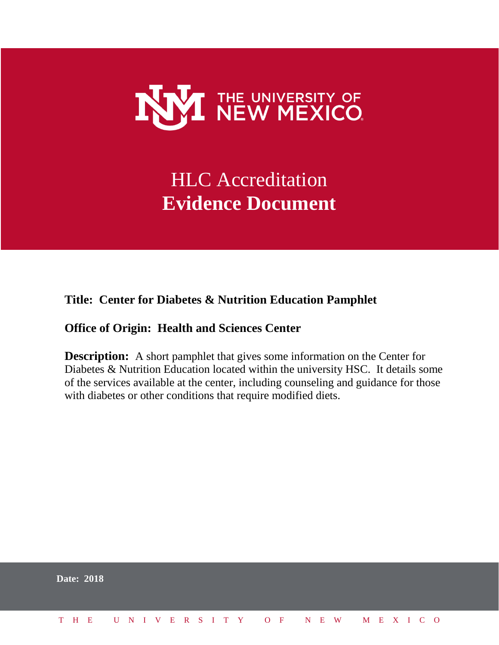

# HLC Accreditation **Evidence Document**

#### **Title: Center for Diabetes & Nutrition Education Pamphlet**

#### **Office of Origin: Health and Sciences Center**

**Description:** A short pamphlet that gives some information on the Center for Diabetes & Nutrition Education located within the university HSC. It details some of the services available at the center, including counseling and guidance for those with diabetes or other conditions that require modified diets.

|  | <b>Date: 2018</b>            |  |  |  |  |  |  |  |  |  |  |  |  |  |
|--|------------------------------|--|--|--|--|--|--|--|--|--|--|--|--|--|
|  | THE UNIVERSITY OF NEW MEXICO |  |  |  |  |  |  |  |  |  |  |  |  |  |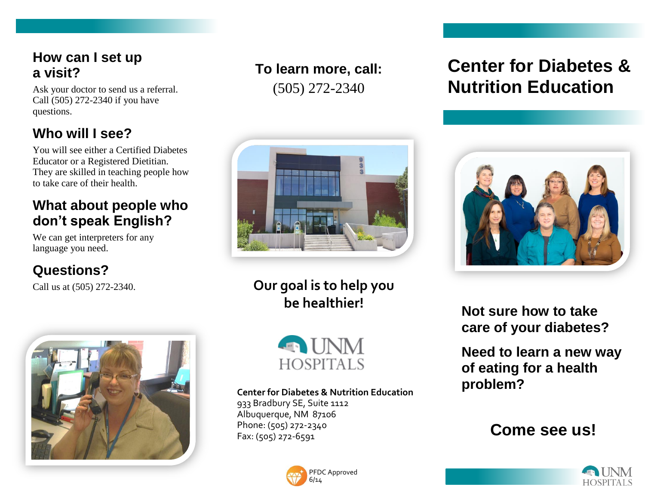### **How can I set up a visit?**

Ask your doctor to send us a referral. Call (505) 272-2340 if you have questions.

## **Who will I see?**

You will see either a Certified Diabetes Educator or a Registered Dietitian. They are skilled in teaching people how to take care of their health.

### **What about people who don't speak English?**

We can get interpreters for any language you need.

## **Questions?**

Call us at (505) 272-2340.



## **To learn more, call:** (505) 272-2340



**Our goal is to help you be healthier!**



#### **Center for Diabetes & Nutrition Education**

933 Bradbury SE, Suite 1112 Albuquerque, NM 87106 Phone: (505) 272-2340 Fax: (505) 272-6591



# **Center for Diabetes & Nutrition Education**



**Not sure how to take care of your diabetes?**

**Need to learn a new way of eating for a health problem?**

## **Come see us!**